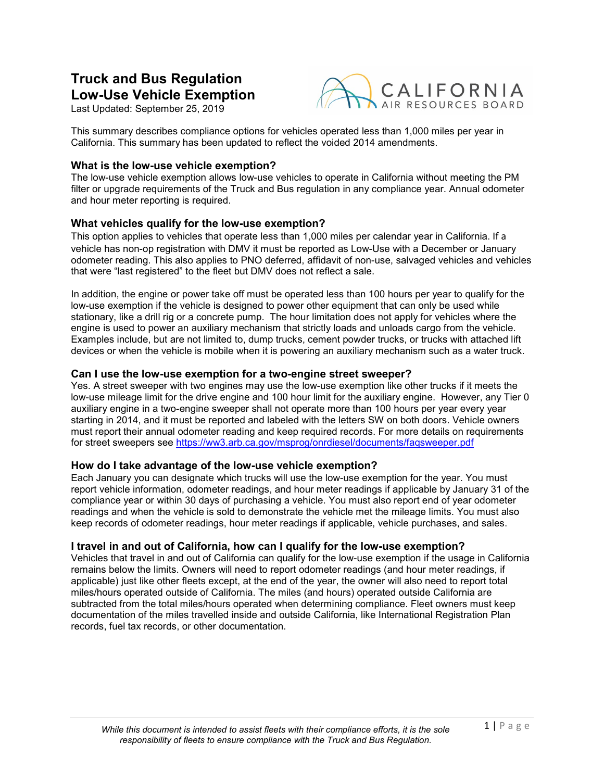# **Truck and Bus Regulation Low-Use Vehicle Exemption**

Last Updated: September 25, 2019



This summary describes compliance options for vehicles operated less than 1,000 miles per year in California. This summary has been updated to reflect the voided 2014 amendments.

## **What is the low-use vehicle exemption?**

The low-use vehicle exemption allows low-use vehicles to operate in California without meeting the PM filter or upgrade requirements of the Truck and Bus regulation in any compliance year. Annual odometer and hour meter reporting is required.

#### **What vehicles qualify for the low-use exemption?**

This option applies to vehicles that operate less than 1,000 miles per calendar year in California. If a vehicle has non-op registration with DMV it must be reported as Low-Use with a December or January odometer reading. This also applies to PNO deferred, affidavit of non-use, salvaged vehicles and vehicles that were "last registered" to the fleet but DMV does not reflect a sale.

In addition, the engine or power take off must be operated less than 100 hours per year to qualify for the low-use exemption if the vehicle is designed to power other equipment that can only be used while stationary, like a drill rig or a concrete pump. The hour limitation does not apply for vehicles where the engine is used to power an auxiliary mechanism that strictly loads and unloads cargo from the vehicle. Examples include, but are not limited to, dump trucks, cement powder trucks, or trucks with attached lift devices or when the vehicle is mobile when it is powering an auxiliary mechanism such as a water truck.

#### **Can I use the low-use exemption for a two-engine street sweeper?**

Yes. A street sweeper with two engines may use the low-use exemption like other trucks if it meets the low-use mileage limit for the drive engine and 100 hour limit for the auxiliary engine. However, any Tier 0 auxiliary engine in a two-engine sweeper shall not operate more than 100 hours per year every year starting in 2014, and it must be reported and labeled with the letters SW on both doors. Vehicle owners must report their annual odometer reading and keep required records. For more details on requirements for street sweepers see<https://ww3.arb.ca.gov/msprog/onrdiesel/documents/faqsweeper.pdf>

## **How do I take advantage of the low-use vehicle exemption?**

Each January you can designate which trucks will use the low-use exemption for the year. You must report vehicle information, odometer readings, and hour meter readings if applicable by January 31 of the compliance year or within 30 days of purchasing a vehicle. You must also report end of year odometer readings and when the vehicle is sold to demonstrate the vehicle met the mileage limits. You must also keep records of odometer readings, hour meter readings if applicable, vehicle purchases, and sales.

#### **I travel in and out of California, how can I qualify for the low-use exemption?**

Vehicles that travel in and out of California can qualify for the low-use exemption if the usage in California remains below the limits. Owners will need to report odometer readings (and hour meter readings, if applicable) just like other fleets except, at the end of the year, the owner will also need to report total miles/hours operated outside of California. The miles (and hours) operated outside California are subtracted from the total miles/hours operated when determining compliance. Fleet owners must keep documentation of the miles travelled inside and outside California, like International Registration Plan records, fuel tax records, or other documentation.